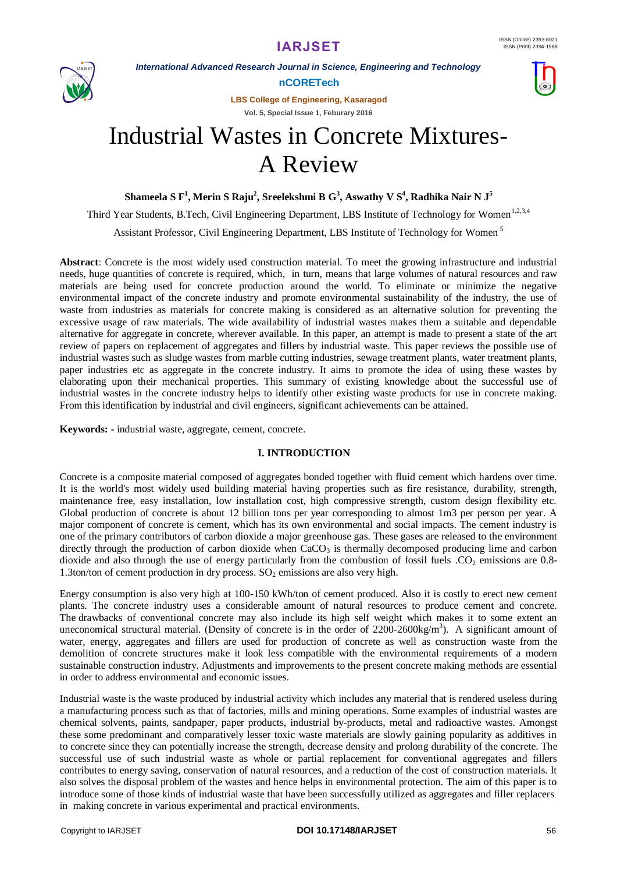

*International Advanced Research Journal in Science, Engineering and Technology*

**nCORETech**

**LBS College of Engineering, Kasaragod**

**Vol. 5, Special Issue 1, Feburary 2016**

# Industrial Wastes in Concrete Mixtures-A Review

**Shameela S F<sup>1</sup> , Merin S Raju<sup>2</sup> , Sreelekshmi B G<sup>3</sup> , Aswathy V S<sup>4</sup> , Radhika Nair N J<sup>5</sup>**

Third Year Students, B.Tech, Civil Engineering Department, LBS Institute of Technology for Women<sup>1,2,3,4</sup>

Assistant Professor, Civil Engineering Department, LBS Institute of Technology for Women <sup>5</sup>

**Abstract**: Concrete is the most widely used construction material. To meet the growing infrastructure and industrial needs, huge quantities of concrete is required, which, in turn, means that large volumes of natural resources and raw materials are being used for concrete production around the world. To eliminate or minimize the negative environmental impact of the concrete industry and promote environmental sustainability of the industry, the use of waste from industries as materials for concrete making is considered as an alternative solution for preventing the excessive usage of raw materials. The wide availability of industrial wastes makes them a suitable and dependable alternative for aggregate in concrete, wherever available. In this paper, an attempt is made to present a state of the art review of papers on replacement of aggregates and fillers by industrial waste. This paper reviews the possible use of industrial wastes such as sludge wastes from marble cutting industries, sewage treatment plants, water treatment plants, paper industries etc as aggregate in the concrete industry. It aims to promote the idea of using these wastes by elaborating upon their mechanical properties. This summary of existing knowledge about the successful use of industrial wastes in the concrete industry helps to identify other existing waste products for use in concrete making. From this identification by industrial and civil engineers, significant achievements can be attained.

**Keywords: -** industrial waste, aggregate, cement, concrete.

#### **I. INTRODUCTION**

Concrete is a composite material composed of aggregates bonded together with fluid cement which hardens over time. It is the world's most widely used building material having properties such as fire resistance, durability, strength, maintenance free, easy installation, low installation cost, high compressive strength, custom design flexibility etc. Global production of concrete is about 12 billion tons per year corresponding to almost 1m3 per person per year. A major component of concrete is cement, which has its own environmental and social impacts. The cement industry is one of the primary contributors of carbon dioxide a major greenhouse gas. These gases are released to the environment directly through the production of carbon dioxide when  $CaCO<sub>3</sub>$  is thermally decomposed producing lime and carbon dioxide and also through the use of energy particularly from the combustion of fossil fuels . $CO<sub>2</sub>$  emissions are 0.8-1.3ton/ton of cement production in dry process.  $SO_2$  emissions are also very high.

Energy consumption is also very high at 100-150 kWh/ton of cement produced. Also it is costly to erect new cement plants. The concrete industry uses a considerable amount of natural resources to produce cement and concrete. The drawbacks of conventional concrete may also include its high self weight which makes it to some extent an uneconomical structural material. (Density of concrete is in the order of  $2200-2600\text{kg/m}^3$ ). A significant amount of water, energy, aggregates and fillers are used for production of concrete as well as construction waste from the demolition of concrete structures make it look less compatible with the environmental requirements of a modern sustainable construction industry. Adjustments and improvements to the present concrete making methods are essential in order to address environmental and economic issues.

Industrial waste is the waste produced by industrial activity which includes any material that is rendered useless during a manufacturing process such as that of factories, mills and mining operations. Some examples of industrial wastes are chemical solvents, paints, sandpaper, paper products, industrial by-products, metal and radioactive wastes. Amongst these some predominant and comparatively lesser toxic waste materials are slowly gaining popularity as additives in to concrete since they can potentially increase the strength, decrease density and prolong durability of the concrete. The successful use of such industrial waste as whole or partial replacement for conventional aggregates and fillers contributes to energy saving, conservation of natural resources, and a reduction of the cost of construction materials. It also solves the disposal problem of the wastes and hence helps in environmental protection. The aim of this paper is to introduce some of those kinds of industrial waste that have been successfully utilized as aggregates and filler replacers in making concrete in various experimental and practical environments.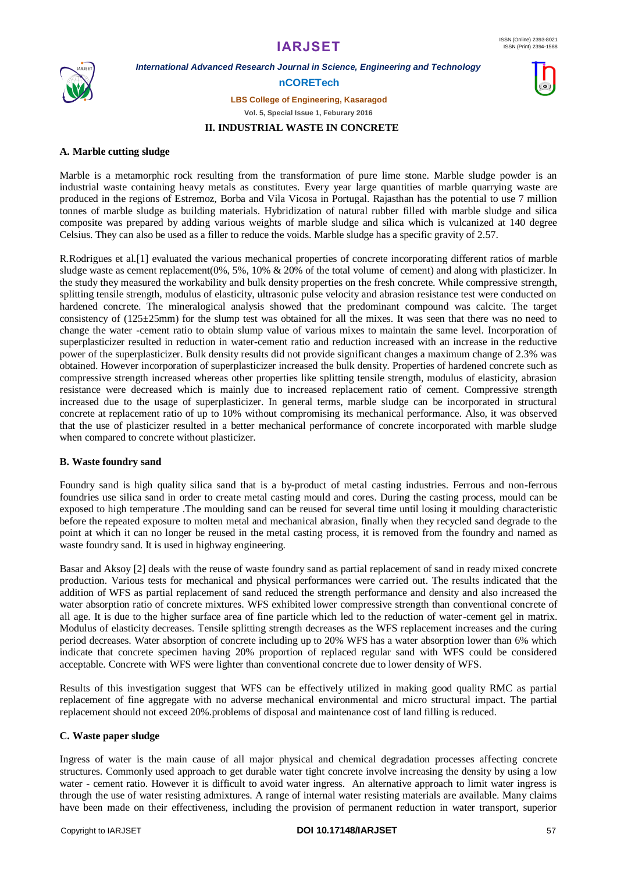

*International Advanced Research Journal in Science, Engineering and Technology*

**nCORETech**

**LBS College of Engineering, Kasaragod**

**Vol. 5, Special Issue 1, Feburary 2016**

#### **II. INDUSTRIAL WASTE IN CONCRETE**

#### **A. Marble cutting sludge**

Marble is a metamorphic rock resulting from the transformation of pure lime stone. Marble sludge powder is an industrial waste containing heavy metals as constitutes. Every year large quantities of marble quarrying waste are produced in the regions of Estremoz, Borba and Vila Vicosa in Portugal. Rajasthan has the potential to use 7 million tonnes of marble sludge as building materials. Hybridization of natural rubber filled with marble sludge and silica composite was prepared by adding various weights of marble sludge and silica which is vulcanized at 140 degree Celsius. They can also be used as a filler to reduce the voids. Marble sludge has a specific gravity of 2.57.

R.Rodrigues et al.[1] evaluated the various mechanical properties of concrete incorporating different ratios of marble sludge waste as cement replacement( $0\%$ ,  $5\%$ ,  $10\%$  &  $20\%$  of the total volume of cement) and along with plasticizer. In the study they measured the workability and bulk density properties on the fresh concrete. While compressive strength, splitting tensile strength, modulus of elasticity, ultrasonic pulse velocity and abrasion resistance test were conducted on hardened concrete. The mineralogical analysis showed that the predominant compound was calcite. The target consistency of (125±25mm) for the slump test was obtained for all the mixes. It was seen that there was no need to change the water -cement ratio to obtain slump value of various mixes to maintain the same level. Incorporation of superplasticizer resulted in reduction in water-cement ratio and reduction increased with an increase in the reductive power of the superplasticizer. Bulk density results did not provide significant changes a maximum change of 2.3% was obtained. However incorporation of superplasticizer increased the bulk density. Properties of hardened concrete such as compressive strength increased whereas other properties like splitting tensile strength, modulus of elasticity, abrasion resistance were decreased which is mainly due to increased replacement ratio of cement. Compressive strength increased due to the usage of superplasticizer. In general terms, marble sludge can be incorporated in structural concrete at replacement ratio of up to 10% without compromising its mechanical performance. Also, it was observed that the use of plasticizer resulted in a better mechanical performance of concrete incorporated with marble sludge when compared to concrete without plasticizer.

#### **B. Waste foundry sand**

Foundry sand is high quality silica sand that is a by-product of metal casting industries. Ferrous and non-ferrous foundries use silica sand in order to create metal casting mould and cores. During the casting process, mould can be exposed to high temperature .The moulding sand can be reused for several time until losing it moulding characteristic before the repeated exposure to molten metal and mechanical abrasion, finally when they recycled sand degrade to the point at which it can no longer be reused in the metal casting process, it is removed from the foundry and named as waste foundry sand. It is used in highway engineering.

Basar and Aksoy [2] deals with the reuse of waste foundry sand as partial replacement of sand in ready mixed concrete production. Various tests for mechanical and physical performances were carried out. The results indicated that the addition of WFS as partial replacement of sand reduced the strength performance and density and also increased the water absorption ratio of concrete mixtures. WFS exhibited lower compressive strength than conventional concrete of all age. It is due to the higher surface area of fine particle which led to the reduction of water-cement gel in matrix. Modulus of elasticity decreases. Tensile splitting strength decreases as the WFS replacement increases and the curing period decreases. Water absorption of concrete including up to 20% WFS has a water absorption lower than 6% which indicate that concrete specimen having 20% proportion of replaced regular sand with WFS could be considered acceptable. Concrete with WFS were lighter than conventional concrete due to lower density of WFS.

Results of this investigation suggest that WFS can be effectively utilized in making good quality RMC as partial replacement of fine aggregate with no adverse mechanical environmental and micro structural impact. The partial replacement should not exceed 20%.problems of disposal and maintenance cost of land filling is reduced.

#### **C. Waste paper sludge**

Ingress of water is the main cause of all major physical and chemical degradation processes affecting concrete structures. Commonly used approach to get durable water tight concrete involve increasing the density by using a low water - cement ratio. However it is difficult to avoid water ingress. An alternative approach to limit water ingress is through the use of water resisting admixtures. A range of internal water resisting materials are available. Many claims have been made on their effectiveness, including the provision of permanent reduction in water transport, superior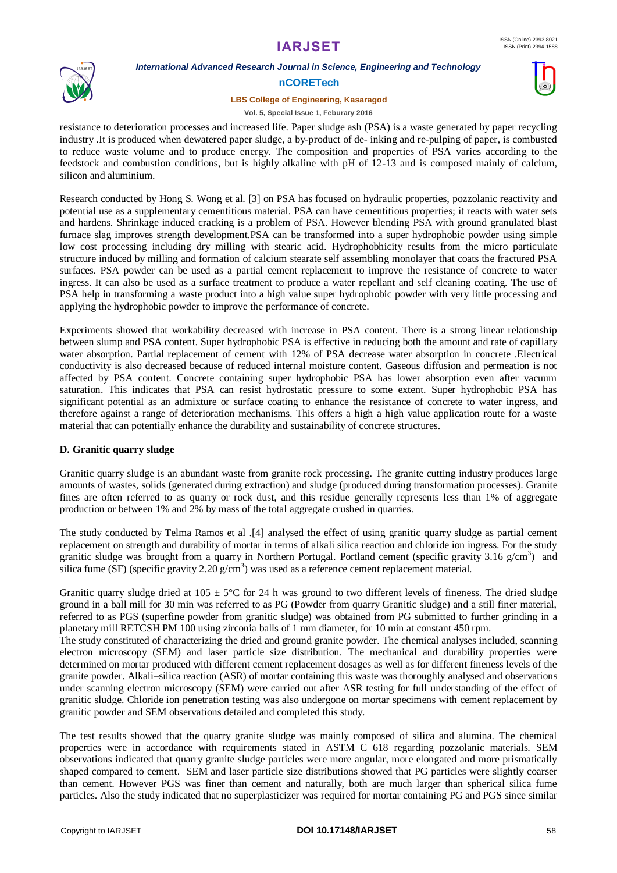

### *International Advanced Research Journal in Science, Engineering and Technology*

#### **nCORETech**

#### **LBS College of Engineering, Kasaragod**

#### **Vol. 5, Special Issue 1, Feburary 2016**

resistance to deterioration processes and increased life. Paper sludge ash (PSA) is a waste generated by paper recycling industry .It is produced when dewatered paper sludge, a by-product of de- inking and re-pulping of paper, is combusted to reduce waste volume and to produce energy. The composition and properties of PSA varies according to the feedstock and combustion conditions, but is highly alkaline with pH of 12-13 and is composed mainly of calcium, silicon and aluminium.

Research conducted by Hong S. Wong et al. [3] on PSA has focused on hydraulic properties, pozzolanic reactivity and potential use as a supplementary cementitious material. PSA can have cementitious properties; it reacts with water sets and hardens. Shrinkage induced cracking is a problem of PSA. However blending PSA with ground granulated blast furnace slag improves strength development.PSA can be transformed into a super hydrophobic powder using simple low cost processing including dry milling with stearic acid. Hydrophobhicity results from the micro particulate structure induced by milling and formation of calcium stearate self assembling monolayer that coats the fractured PSA surfaces. PSA powder can be used as a partial cement replacement to improve the resistance of concrete to water ingress. It can also be used as a surface treatment to produce a water repellant and self cleaning coating. The use of PSA help in transforming a waste product into a high value super hydrophobic powder with very little processing and applying the hydrophobic powder to improve the performance of concrete.

Experiments showed that workability decreased with increase in PSA content. There is a strong linear relationship between slump and PSA content. Super hydrophobic PSA is effective in reducing both the amount and rate of capillary water absorption. Partial replacement of cement with 12% of PSA decrease water absorption in concrete .Electrical conductivity is also decreased because of reduced internal moisture content. Gaseous diffusion and permeation is not affected by PSA content. Concrete containing super hydrophobic PSA has lower absorption even after vacuum saturation. This indicates that PSA can resist hydrostatic pressure to some extent. Super hydrophobic PSA has significant potential as an admixture or surface coating to enhance the resistance of concrete to water ingress, and therefore against a range of deterioration mechanisms. This offers a high a high value application route for a waste material that can potentially enhance the durability and sustainability of concrete structures.

#### **D. Granitic quarry sludge**

Granitic quarry sludge is an abundant waste from granite rock processing. The granite cutting industry produces large amounts of wastes, solids (generated during extraction) and sludge (produced during transformation processes). Granite fines are often referred to as quarry or rock dust, and this residue generally represents less than 1% of aggregate production or between 1% and 2% by mass of the total aggregate crushed in quarries.

The study conducted by Telma Ramos et al .[4] analysed the effect of using granitic quarry sludge as partial cement replacement on strength and durability of mortar in terms of alkali silica reaction and chloride ion ingress. For the study granitic sludge was brought from a quarry in Northern Portugal. Portland cement (specific gravity 3.16 g/cm<sup>3</sup>) and silica fume (SF) (specific gravity 2.20  $g/cm<sup>3</sup>$ ) was used as a reference cement replacement material.

Granitic quarry sludge dried at  $105 \pm 5^{\circ}$ C for 24 h was ground to two different levels of fineness. The dried sludge ground in a ball mill for 30 min was referred to as PG (Powder from quarry Granitic sludge) and a still finer material, referred to as PGS (superfine powder from granitic sludge) was obtained from PG submitted to further grinding in a planetary mill RETCSH PM 100 using zirconia balls of 1 mm diameter, for 10 min at constant 450 rpm.

The study constituted of characterizing the dried and ground granite powder. The chemical analyses included, scanning electron microscopy (SEM) and laser particle size distribution. The mechanical and durability properties were determined on mortar produced with different cement replacement dosages as well as for different fineness levels of the granite powder. Alkali–silica reaction (ASR) of mortar containing this waste was thoroughly analysed and observations under scanning electron microscopy (SEM) were carried out after ASR testing for full understanding of the effect of granitic sludge. Chloride ion penetration testing was also undergone on mortar specimens with cement replacement by granitic powder and SEM observations detailed and completed this study.

The test results showed that the quarry granite sludge was mainly composed of silica and alumina. The chemical properties were in accordance with requirements stated in ASTM C 618 regarding pozzolanic materials. SEM observations indicated that quarry granite sludge particles were more angular, more elongated and more prismatically shaped compared to cement. SEM and laser particle size distributions showed that PG particles were slightly coarser than cement. However PGS was finer than cement and naturally, both are much larger than spherical silica fume particles. Also the study indicated that no superplasticizer was required for mortar containing PG and PGS since similar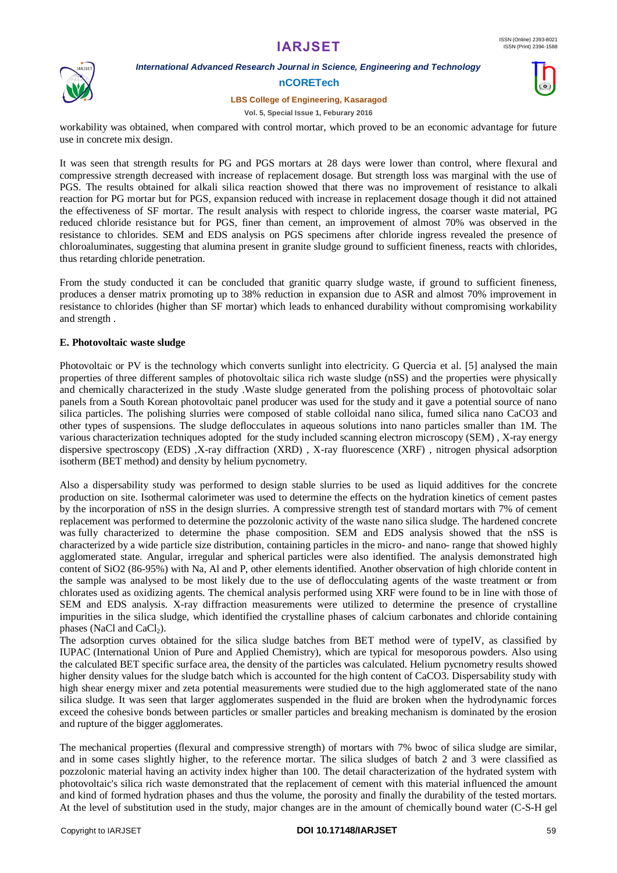

*International Advanced Research Journal in Science, Engineering and Technology*

#### **nCORETech**

#### **LBS College of Engineering, Kasaragod**



workability was obtained, when compared with control mortar, which proved to be an economic advantage for future use in concrete mix design.

It was seen that strength results for PG and PGS mortars at 28 days were lower than control, where flexural and compressive strength decreased with increase of replacement dosage. But strength loss was marginal with the use of PGS. The results obtained for alkali silica reaction showed that there was no improvement of resistance to alkali reaction for PG mortar but for PGS, expansion reduced with increase in replacement dosage though it did not attained the effectiveness of SF mortar. The result analysis with respect to chloride ingress, the coarser waste material, PG reduced chloride resistance but for PGS, finer than cement, an improvement of almost 70% was observed in the resistance to chlorides. SEM and EDS analysis on PGS specimens after chloride ingress revealed the presence of chloroaluminates, suggesting that alumina present in granite sludge ground to sufficient fineness, reacts with chlorides, thus retarding chloride penetration.

From the study conducted it can be concluded that granitic quarry sludge waste, if ground to sufficient fineness, produces a denser matrix promoting up to 38% reduction in expansion due to ASR and almost 70% improvement in resistance to chlorides (higher than SF mortar) which leads to enhanced durability without compromising workability and strength .

#### **E. Photovoltaic waste sludge**

Photovoltaic or PV is the technology which converts sunlight into electricity. G Quercia et al. [5] analysed the main properties of three different samples of photovoltaic silica rich waste sludge (nSS) and the properties were physically and chemically characterized in the study .Waste sludge generated from the polishing process of photovoltaic solar panels from a South Korean photovoltaic panel producer was used for the study and it gave a potential source of nano silica particles. The polishing slurries were composed of stable colloidal nano silica, fumed silica nano CaCO3 and other types of suspensions. The sludge deflocculates in aqueous solutions into nano particles smaller than 1M. The various characterization techniques adopted for the study included scanning electron microscopy (SEM) , X-ray energy dispersive spectroscopy (EDS) ,X-ray diffraction (XRD) , X-ray fluorescence (XRF) , nitrogen physical adsorption isotherm (BET method) and density by helium pycnometry.

Also a dispersability study was performed to design stable slurries to be used as liquid additives for the concrete production on site. Isothermal calorimeter was used to determine the effects on the hydration kinetics of cement pastes by the incorporation of nSS in the design slurries. A compressive strength test of standard mortars with 7% of cement replacement was performed to determine the pozzolonic activity of the waste nano silica sludge. The hardened concrete was fully characterized to determine the phase composition. SEM and EDS analysis showed that the nSS is characterized by a wide particle size distribution, containing particles in the micro- and nano- range that showed highly agglomerated state. Angular, irregular and spherical particles were also identified. The analysis demonstrated high content of SiO2 (86-95%) with Na, Al and P, other elements identified. Another observation of high chloride content in the sample was analysed to be most likely due to the use of deflocculating agents of the waste treatment or from chlorates used as oxidizing agents. The chemical analysis performed using XRF were found to be in line with those of SEM and EDS analysis. X-ray diffraction measurements were utilized to determine the presence of crystalline impurities in the silica sludge, which identified the crystalline phases of calcium carbonates and chloride containing phases (NaCl and CaCl $_2$ ).

The adsorption curves obtained for the silica sludge batches from BET method were of typeIV, as classified by IUPAC (International Union of Pure and Applied Chemistry), which are typical for mesoporous powders. Also using the calculated BET specific surface area, the density of the particles was calculated. Helium pycnometry results showed higher density values for the sludge batch which is accounted for the high content of CaCO3. Dispersability study with high shear energy mixer and zeta potential measurements were studied due to the high agglomerated state of the nano silica sludge. It was seen that larger agglomerates suspended in the fluid are broken when the hydrodynamic forces exceed the cohesive bonds between particles or smaller particles and breaking mechanism is dominated by the erosion and rupture of the bigger agglomerates.

The mechanical properties (flexural and compressive strength) of mortars with 7% bwoc of silica sludge are similar, and in some cases slightly higher, to the reference mortar. The silica sludges of batch 2 and 3 were classified as pozzolonic material having an activity index higher than 100. The detail characterization of the hydrated system with photovoltaic's silica rich waste demonstrated that the replacement of cement with this material influenced the amount and kind of formed hydration phases and thus the volume, the porosity and finally the durability of the tested mortars. At the level of substitution used in the study, major changes are in the amount of chemically bound water (C-S-H gel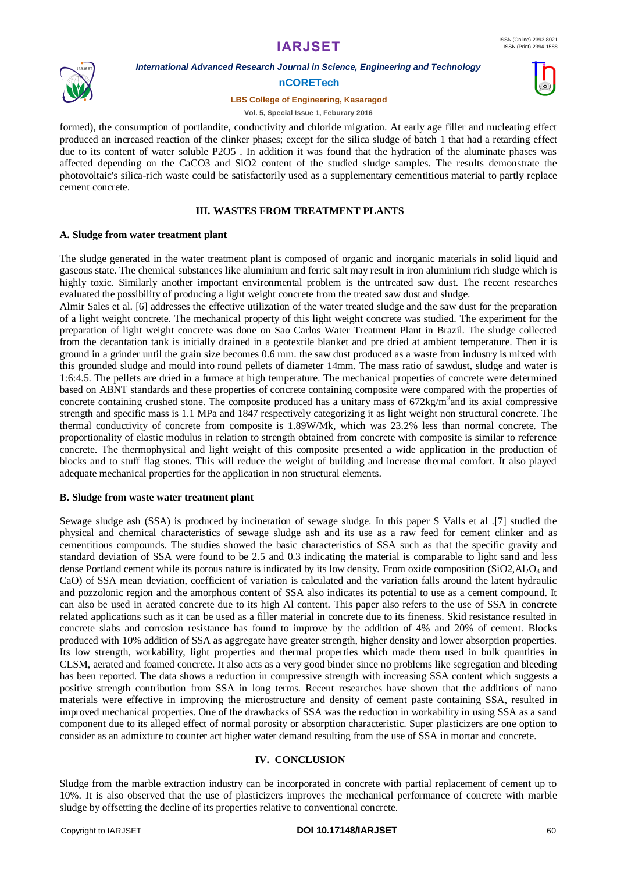

*International Advanced Research Journal in Science, Engineering and Technology*

#### **nCORETech**

#### **LBS College of Engineering, Kasaragod**



formed), the consumption of portlandite, conductivity and chloride migration. At early age filler and nucleating effect produced an increased reaction of the clinker phases; except for the silica sludge of batch 1 that had a retarding effect due to its content of water soluble P2O5. In addition it was found that the hydration of the aluminate phases was affected depending on the CaCO3 and SiO2 content of the studied sludge samples. The results demonstrate the photovoltaic's silica-rich waste could be satisfactorily used as a supplementary cementitious material to partly replace cement concrete.

#### **III. WASTES FROM TREATMENT PLANTS**

#### **A. Sludge from water treatment plant**

The sludge generated in the water treatment plant is composed of organic and inorganic materials in solid liquid and gaseous state. The chemical substances like aluminium and ferric salt may result in iron aluminium rich sludge which is highly toxic. Similarly another important environmental problem is the untreated saw dust. The recent researches evaluated the possibility of producing a light weight concrete from the treated saw dust and sludge.

Almir Sales et al. [6] addresses the effective utilization of the water treated sludge and the saw dust for the preparation of a light weight concrete. The mechanical property of this light weight concrete was studied. The experiment for the preparation of light weight concrete was done on Sao Carlos Water Treatment Plant in Brazil. The sludge collected from the decantation tank is initially drained in a geotextile blanket and pre dried at ambient temperature. Then it is ground in a grinder until the grain size becomes 0.6 mm. the saw dust produced as a waste from industry is mixed with this grounded sludge and mould into round pellets of diameter 14mm. The mass ratio of sawdust, sludge and water is 1:6:4.5. The pellets are dried in a furnace at high temperature. The mechanical properties of concrete were determined based on ABNT standards and these properties of concrete containing composite were compared with the properties of concrete containing crushed stone. The composite produced has a unitary mass of  $672\text{kg/m}^3$  and its axial compressive strength and specific mass is 1.1 MPa and 1847 respectively categorizing it as light weight non structural concrete. The thermal conductivity of concrete from composite is 1.89W/Mk, which was 23.2% less than normal concrete. The proportionality of elastic modulus in relation to strength obtained from concrete with composite is similar to reference concrete. The thermophysical and light weight of this composite presented a wide application in the production of blocks and to stuff flag stones. This will reduce the weight of building and increase thermal comfort. It also played adequate mechanical properties for the application in non structural elements.

#### **B. Sludge from waste water treatment plant**

Sewage sludge ash (SSA) is produced by incineration of sewage sludge. In this paper S Valls et al .[7] studied the physical and chemical characteristics of sewage sludge ash and its use as a raw feed for cement clinker and as cementitious compounds. The studies showed the basic characteristics of SSA such as that the specific gravity and standard deviation of SSA were found to be 2.5 and 0.3 indicating the material is comparable to light sand and less dense Portland cement while its porous nature is indicated by its low density. From oxide composition  $(SIO2, A1<sub>2</sub>O<sub>3</sub>$  and CaO) of SSA mean deviation, coefficient of variation is calculated and the variation falls around the latent hydraulic and pozzolonic region and the amorphous content of SSA also indicates its potential to use as a cement compound. It can also be used in aerated concrete due to its high Al content. This paper also refers to the use of SSA in concrete related applications such as it can be used as a filler material in concrete due to its fineness. Skid resistance resulted in concrete slabs and corrosion resistance has found to improve by the addition of 4% and 20% of cement. Blocks produced with 10% addition of SSA as aggregate have greater strength, higher density and lower absorption properties. Its low strength, workability, light properties and thermal properties which made them used in bulk quantities in CLSM, aerated and foamed concrete. It also acts as a very good binder since no problems like segregation and bleeding has been reported. The data shows a reduction in compressive strength with increasing SSA content which suggests a positive strength contribution from SSA in long terms. Recent researches have shown that the additions of nano materials were effective in improving the microstructure and density of cement paste containing SSA, resulted in improved mechanical properties. One of the drawbacks of SSA was the reduction in workability in using SSA as a sand component due to its alleged effect of normal porosity or absorption characteristic. Super plasticizers are one option to consider as an admixture to counter act higher water demand resulting from the use of SSA in mortar and concrete.

#### **IV. CONCLUSION**

Sludge from the marble extraction industry can be incorporated in concrete with partial replacement of cement up to 10%. It is also observed that the use of plasticizers improves the mechanical performance of concrete with marble sludge by offsetting the decline of its properties relative to conventional concrete.